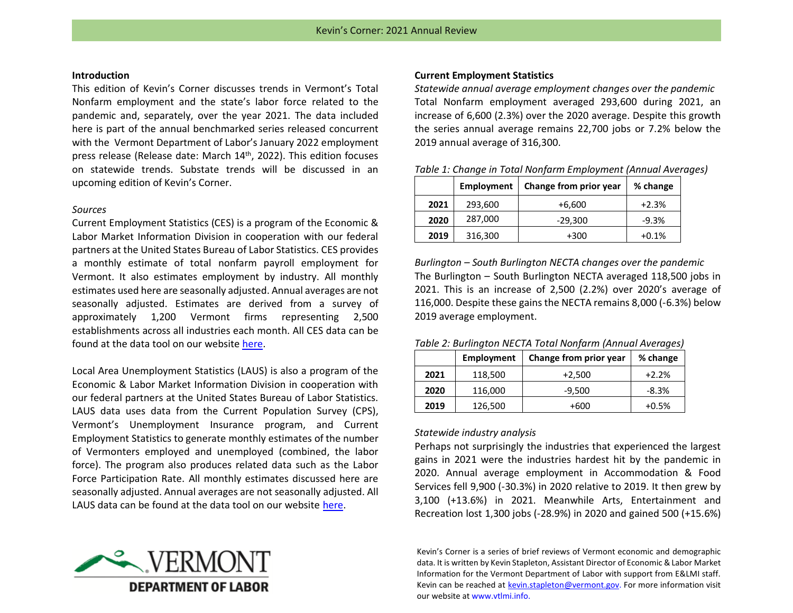## **Introduction**

This edition of Kevin's Corner discusses trends in Vermont's Total Nonfarm employment and the state's labor force related to the pandemic and, separately, over the year 2021. The data included here is part of the annual benchmarked series released concurrent with the Vermont Department of Labor's January 2022 employment press release (Release date: March 14<sup>th</sup>, 2022). This edition focuses on statewide trends. Substate trends will be discussed in an upcoming edition of Kevin's Corner.

### *Sources*

Current Employment Statistics (CES) is a program of the Economic & Labor Market Information Division in cooperation with our federal partners at the United States Bureau of Labor Statistics. CES provides a monthly estimate of total nonfarm payroll employment for Vermont. It also estimates employment by industry. All monthly estimates used here are seasonally adjusted. Annual averages are not seasonally adjusted. Estimates are derived from a survey of approximately 1,200 Vermont firms representing 2,500 establishments across all industries each month. All CES data can be found at the data tool on our website [here.](http://www.vtlmi.info/ces.cfm)

Local Area Unemployment Statistics (LAUS) is also a program of the Economic & Labor Market Information Division in cooperation with our federal partners at the United States Bureau of Labor Statistics. LAUS data uses data from the Current Population Survey (CPS), Vermont's Unemployment Insurance program, and Current Employment Statistics to generate monthly estimates of the number of Vermonters employed and unemployed (combined, the labor force). The program also produces related data such as the Labor Force Participation Rate. All monthly estimates discussed here are seasonally adjusted. Annual averages are not seasonally adjusted. All LAUS data can be found at the data tool on our website [here.](http://www.vtlmi.info/laus.cfm)



## **Current Employment Statistics**

*Statewide annual average employment changes over the pandemic* Total Nonfarm employment averaged 293,600 during 2021, an increase of 6,600 (2.3%) over the 2020 average. Despite this growth the series annual average remains 22,700 jobs or 7.2% below the 2019 annual average of 316,300.

*Table 1: Change in Total Nonfarm Employment (Annual Averages)*

|      | Employment | Change from prior year | % change |
|------|------------|------------------------|----------|
| 2021 | 293,600    | $+6,600$               | $+2.3%$  |
| 2020 | 287,000    | $-29,300$              | $-9.3%$  |
| 2019 | 316,300    | +300                   | $+0.1%$  |

*Burlington – South Burlington NECTA changes over the pandemic* The Burlington – South Burlington NECTA averaged 118,500 jobs in 2021. This is an increase of 2,500 (2.2%) over 2020's average of 116,000. Despite these gains the NECTA remains 8,000 (-6.3%) below 2019 average employment.

*Table 2: Burlington NECTA Total Nonfarm (Annual Averages)*

|      | Employment | Change from prior year | % change |
|------|------------|------------------------|----------|
| 2021 | 118,500    | $+2,500$               | $+2.2%$  |
| 2020 | 116,000    | $-9,500$               | $-8.3%$  |
| 2019 | 126,500    | +600                   | $+0.5%$  |

## *Statewide industry analysis*

Perhaps not surprisingly the industries that experienced the largest gains in 2021 were the industries hardest hit by the pandemic in 2020. Annual average employment in Accommodation & Food Services fell 9,900 (-30.3%) in 2020 relative to 2019. It then grew by 3,100 (+13.6%) in 2021. Meanwhile Arts, Entertainment and Recreation lost 1,300 jobs (-28.9%) in 2020 and gained 500 (+15.6%)

Kevin's Corner is a series of brief reviews of Vermont economic and demographic data. It is written by Kevin Stapleton, Assistant Director of Economic & Labor Market Information for the Vermont Department of Labor with support from E&LMI staff. Kevin can be reached at [kevin.stapleton@vermont.gov.](mailto:kevin.stapleton@vermont.gov) For more information visit our website at www.vtlmi.info.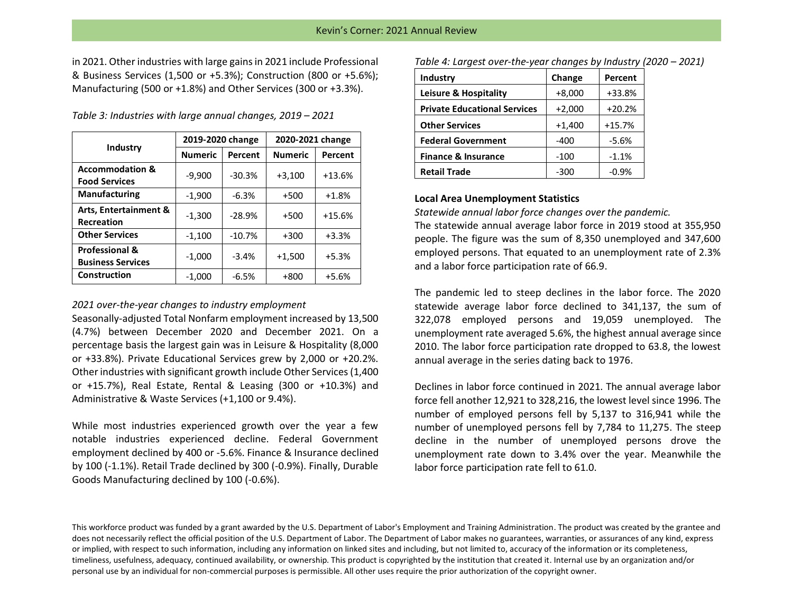in 2021. Other industries with large gains in 2021 include Professional & Business Services (1,500 or +5.3%); Construction (800 or +5.6%); Manufacturing (500 or +1.8%) and Other Services (300 or +3.3%).

*Table 3: Industries with large annual changes, 2019 – 2021*

| Industry                                              | 2019-2020 change |          | 2020-2021 change |          |
|-------------------------------------------------------|------------------|----------|------------------|----------|
|                                                       | <b>Numeric</b>   | Percent  | <b>Numeric</b>   | Percent  |
| <b>Accommodation &amp;</b><br><b>Food Services</b>    | $-9,900$         | $-30.3%$ | $+3,100$         | $+13.6%$ |
| <b>Manufacturing</b>                                  | $-1,900$         | $-6.3%$  | $+500$           | $+1.8%$  |
| Arts, Entertainment &<br><b>Recreation</b>            | $-1,300$         | $-28.9%$ | $+500$           | $+15.6%$ |
| <b>Other Services</b>                                 | $-1,100$         | $-10.7%$ | $+300$           | $+3.3%$  |
| <b>Professional &amp;</b><br><b>Business Services</b> | $-1,000$         | $-3.4%$  | $+1,500$         | $+5.3%$  |
| Construction                                          | $-1,000$         | $-6.5%$  | $+800$           | $+5.6%$  |

### *2021 over-the-year changes to industry employment*

Seasonally-adjusted Total Nonfarm employment increased by 13,500 (4.7%) between December 2020 and December 2021. On a percentage basis the largest gain was in Leisure & Hospitality (8,000 or +33.8%). Private Educational Services grew by 2,000 or +20.2%. Other industries with significant growth include Other Services (1,400 or +15.7%), Real Estate, Rental & Leasing (300 or +10.3%) and Administrative & Waste Services (+1,100 or 9.4%).

While most industries experienced growth over the year a few notable industries experienced decline. Federal Government employment declined by 400 or -5.6%. Finance & Insurance declined by 100 (-1.1%). Retail Trade declined by 300 (-0.9%). Finally, Durable Goods Manufacturing declined by 100 (-0.6%).

*Table 4: Largest over-the-year changes by Industry (2020 – 2021)*

| Industry                            | Change   | Percent  |
|-------------------------------------|----------|----------|
| <b>Leisure &amp; Hospitality</b>    | $+8,000$ | +33.8%   |
| <b>Private Educational Services</b> | $+2,000$ | $+20.2%$ |
| <b>Other Services</b>               | $+1,400$ | $+15.7%$ |
| <b>Federal Government</b>           | -400     | $-5.6%$  |
| <b>Finance &amp; Insurance</b>      | $-100$   | $-1.1%$  |
| <b>Retail Trade</b>                 | $-300$   | $-0.9%$  |

## **Local Area Unemployment Statistics**

*Statewide annual labor force changes over the pandemic.*

The statewide annual average labor force in 2019 stood at 355,950 people. The figure was the sum of 8,350 unemployed and 347,600 employed persons. That equated to an unemployment rate of 2.3% and a labor force participation rate of 66.9.

The pandemic led to steep declines in the labor force. The 2020 statewide average labor force declined to 341,137, the sum of 322,078 employed persons and 19,059 unemployed. The unemployment rate averaged 5.6%, the highest annual average since 2010. The labor force participation rate dropped to 63.8, the lowest annual average in the series dating back to 1976.

Declines in labor force continued in 2021. The annual average labor force fell another 12,921 to 328,216, the lowest level since 1996. The number of employed persons fell by 5,137 to 316,941 while the number of unemployed persons fell by 7,784 to 11,275. The steep decline in the number of unemployed persons drove the unemployment rate down to 3.4% over the year. Meanwhile the labor force participation rate fell to 61.0.

This workforce product was funded by a grant awarded by the U.S. Department of Labor's Employment and Training Administration. The product was created by the grantee and does not necessarily reflect the official position of the U.S. Department of Labor. The Department of Labor makes no guarantees, warranties, or assurances of any kind, express or implied, with respect to such information, including any information on linked sites and including, but not limited to, accuracy of the information or its completeness, timeliness, usefulness, adequacy, continued availability, or ownership. This product is copyrighted by the institution that created it. Internal use by an organization and/or personal use by an individual for non-commercial purposes is permissible. All other uses require the prior authorization of the copyright owner.